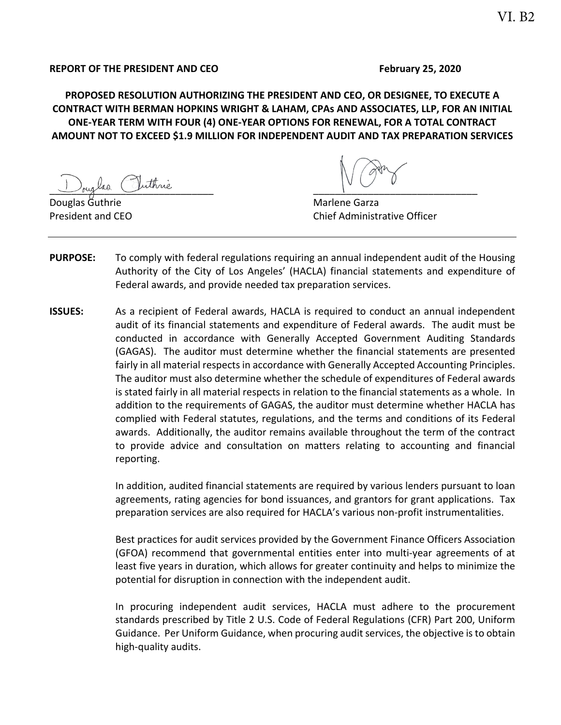## **REPORT OF THE PRESIDENT AND CEO February 25, 2020**

**PROPOSED RESOLUTION AUTHORIZING THE PRESIDENT AND CEO, OR DESIGNEE, TO EXECUTE A CONTRACT WITH BERMAN HOPKINS WRIGHT & LAHAM, CPAs AND ASSOCIATES, LLP, FOR AN INITIAL ONE‐YEAR TERM WITH FOUR (4) ONE‐YEAR OPTIONS FOR RENEWAL, FOR A TOTAL CONTRACT AMOUNT NOT TO EXCEED \$1.9 MILLION FOR INDEPENDENT AUDIT AND TAX PREPARATION SERVICES** 

 $\frac{1}{\sqrt{2\pi}}$  and  $\frac{1}{\sqrt{2\pi}}$ 

Marlene Garza President and CEO **Chief Administrative Officer** Chief Administrative Officer

- **PURPOSE:** To comply with federal regulations requiring an annual independent audit of the Housing Authority of the City of Los Angeles' (HACLA) financial statements and expenditure of Federal awards, and provide needed tax preparation services.
- **ISSUES:** As a recipient of Federal awards, HACLA is required to conduct an annual independent audit of its financial statements and expenditure of Federal awards. The audit must be conducted in accordance with Generally Accepted Government Auditing Standards (GAGAS). The auditor must determine whether the financial statements are presented fairly in all material respects in accordance with Generally Accepted Accounting Principles. The auditor must also determine whether the schedule of expenditures of Federal awards is stated fairly in all material respects in relation to the financial statements as a whole. In addition to the requirements of GAGAS, the auditor must determine whether HACLA has complied with Federal statutes, regulations, and the terms and conditions of its Federal awards. Additionally, the auditor remains available throughout the term of the contract to provide advice and consultation on matters relating to accounting and financial reporting.

In addition, audited financial statements are required by various lenders pursuant to loan agreements, rating agencies for bond issuances, and grantors for grant applications. Tax preparation services are also required for HACLA's various non‐profit instrumentalities.

Best practices for audit services provided by the Government Finance Officers Association (GFOA) recommend that governmental entities enter into multi‐year agreements of at least five years in duration, which allows for greater continuity and helps to minimize the potential for disruption in connection with the independent audit.

In procuring independent audit services, HACLA must adhere to the procurement standards prescribed by Title 2 U.S. Code of Federal Regulations (CFR) Part 200, Uniform Guidance. Per Uniform Guidance, when procuring audit services, the objective is to obtain high‐quality audits.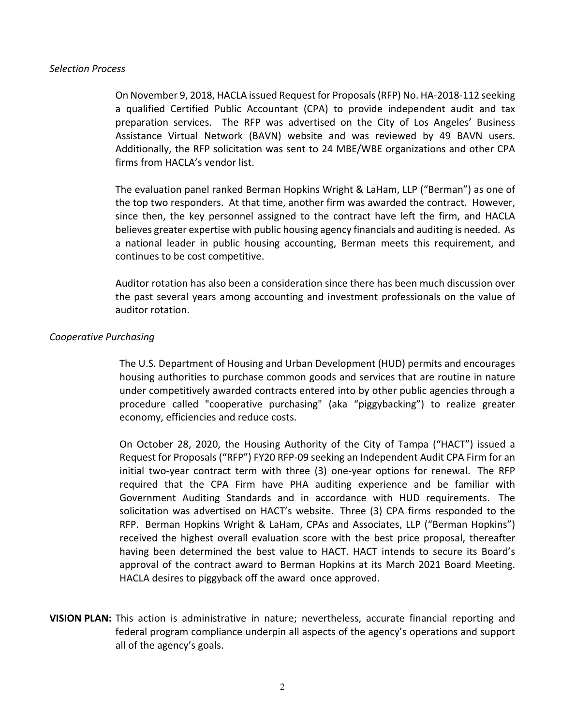#### *Selection Process*

On November 9, 2018, HACLA issued Request for Proposals (RFP) No. HA‐2018‐112 seeking a qualified Certified Public Accountant (CPA) to provide independent audit and tax preparation services. The RFP was advertised on the City of Los Angeles' Business Assistance Virtual Network (BAVN) website and was reviewed by 49 BAVN users. Additionally, the RFP solicitation was sent to 24 MBE/WBE organizations and other CPA firms from HACLA's vendor list.

The evaluation panel ranked Berman Hopkins Wright & LaHam, LLP ("Berman") as one of the top two responders. At that time, another firm was awarded the contract. However, since then, the key personnel assigned to the contract have left the firm, and HACLA believes greater expertise with public housing agency financials and auditing is needed. As a national leader in public housing accounting, Berman meets this requirement, and continues to be cost competitive.

Auditor rotation has also been a consideration since there has been much discussion over the past several years among accounting and investment professionals on the value of auditor rotation.

## *Cooperative Purchasing*

The U.S. Department of Housing and Urban Development (HUD) permits and encourages housing authorities to purchase common goods and services that are routine in nature under competitively awarded contracts entered into by other public agencies through a procedure called "cooperative purchasing" (aka "piggybacking") to realize greater economy, efficiencies and reduce costs.

On October 28, 2020, the Housing Authority of the City of Tampa ("HACT") issued a Request for Proposals ("RFP") FY20 RFP‐09 seeking an Independent Audit CPA Firm for an initial two-year contract term with three (3) one-year options for renewal. The RFP required that the CPA Firm have PHA auditing experience and be familiar with Government Auditing Standards and in accordance with HUD requirements. The solicitation was advertised on HACT's website. Three (3) CPA firms responded to the RFP. Berman Hopkins Wright & LaHam, CPAs and Associates, LLP ("Berman Hopkins") received the highest overall evaluation score with the best price proposal, thereafter having been determined the best value to HACT. HACT intends to secure its Board's approval of the contract award to Berman Hopkins at its March 2021 Board Meeting. HACLA desires to piggyback off the award once approved.

**VISION PLAN:** This action is administrative in nature; nevertheless, accurate financial reporting and federal program compliance underpin all aspects of the agency's operations and support all of the agency's goals.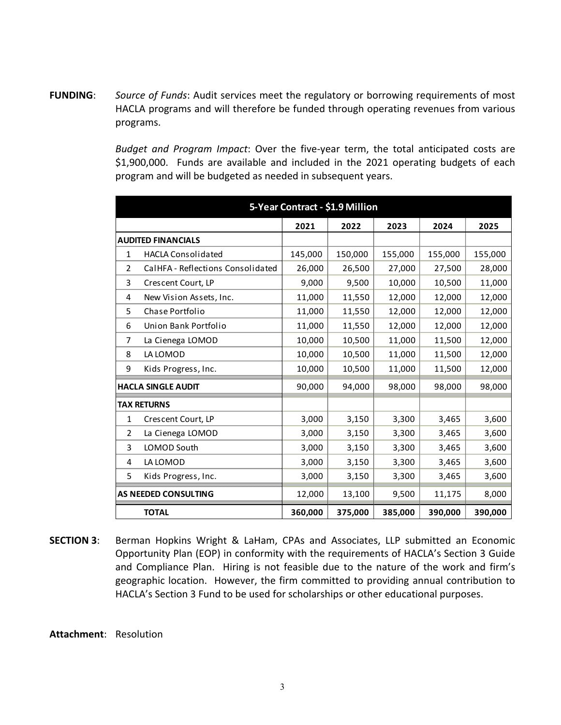**FUNDING**: *Source of Funds*: Audit services meet the regulatory or borrowing requirements of most HACLA programs and will therefore be funded through operating revenues from various programs.

> *Budget and Program Impact*: Over the five‐year term, the total anticipated costs are \$1,900,000. Funds are available and included in the 2021 operating budgets of each program and will be budgeted as needed in subsequent years.

| 5-Year Contract - \$1.9 Million |                                   |         |         |         |         |         |
|---------------------------------|-----------------------------------|---------|---------|---------|---------|---------|
|                                 |                                   | 2021    | 2022    | 2023    | 2024    | 2025    |
| <b>AUDITED FINANCIALS</b>       |                                   |         |         |         |         |         |
| 1                               | <b>HACLA Consolidated</b>         | 145,000 | 150,000 | 155,000 | 155,000 | 155,000 |
| 2                               | CalHFA - Reflections Consolidated | 26,000  | 26,500  | 27,000  | 27,500  | 28,000  |
| 3                               | Crescent Court, LP                | 9,000   | 9,500   | 10,000  | 10,500  | 11,000  |
| 4                               | New Vision Assets, Inc.           | 11,000  | 11,550  | 12,000  | 12,000  | 12,000  |
| 5                               | Chase Portfolio                   | 11,000  | 11,550  | 12,000  | 12,000  | 12,000  |
| 6                               | Union Bank Portfolio              | 11,000  | 11,550  | 12,000  | 12,000  | 12,000  |
| 7                               | La Cienega LOMOD                  | 10,000  | 10,500  | 11,000  | 11,500  | 12,000  |
| 8                               | LA LOMOD                          | 10,000  | 10,500  | 11,000  | 11,500  | 12,000  |
| 9                               | Kids Progress, Inc.               | 10,000  | 10,500  | 11,000  | 11,500  | 12,000  |
| <b>HACLA SINGLE AUDIT</b>       |                                   | 90,000  | 94,000  | 98,000  | 98,000  | 98,000  |
| <b>TAX RETURNS</b>              |                                   |         |         |         |         |         |
| $\mathbf{1}$                    | Crescent Court, LP                | 3,000   | 3,150   | 3,300   | 3,465   | 3,600   |
| $\overline{2}$                  | La Cienega LOMOD                  | 3,000   | 3,150   | 3,300   | 3,465   | 3,600   |
| 3                               | LOMOD South                       | 3,000   | 3,150   | 3,300   | 3,465   | 3,600   |
| 4                               | LA LOMOD                          | 3,000   | 3,150   | 3,300   | 3,465   | 3,600   |
| 5.                              | Kids Progress, Inc.               | 3,000   | 3,150   | 3,300   | 3,465   | 3,600   |
| AS NEEDED CONSULTING            |                                   | 12,000  | 13,100  | 9,500   | 11,175  | 8,000   |
|                                 | <b>TOTAL</b>                      | 360,000 | 375,000 | 385,000 | 390,000 | 390,000 |

**SECTION 3:** Berman Hopkins Wright & LaHam, CPAs and Associates, LLP submitted an Economic Opportunity Plan (EOP) in conformity with the requirements of HACLA's Section 3 Guide and Compliance Plan. Hiring is not feasible due to the nature of the work and firm's geographic location. However, the firm committed to providing annual contribution to HACLA's Section 3 Fund to be used for scholarships or other educational purposes.

#### **Attachment**: Resolution